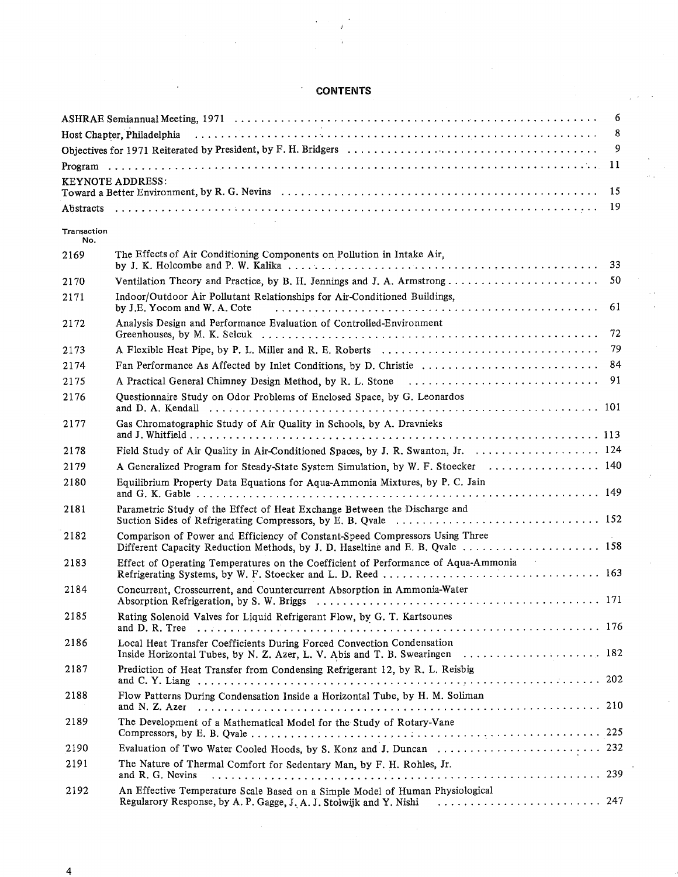## **CONTENTS**

 $\ddot{\phantom{0}}$ 

|                    |                                                                                                                                                               | 6  |
|--------------------|---------------------------------------------------------------------------------------------------------------------------------------------------------------|----|
|                    |                                                                                                                                                               | 8  |
|                    |                                                                                                                                                               | 9  |
|                    |                                                                                                                                                               |    |
|                    | <b>KEYNOTE ADDRESS:</b>                                                                                                                                       |    |
|                    |                                                                                                                                                               |    |
| Transaction<br>No. |                                                                                                                                                               |    |
| 2169               | The Effects of Air Conditioning Components on Pollution in Intake Air,                                                                                        |    |
| 2170               |                                                                                                                                                               |    |
| 2171               | Indoor/Outdoor Air Pollutant Relationships for Air-Conditioned Buildings,<br>by J.E. Yocom and W. A. Cote                                                     | 61 |
| 2172               | Analysis Design and Performance Evaluation of Controlled-Environment                                                                                          |    |
| 2173               |                                                                                                                                                               |    |
| 2174               |                                                                                                                                                               |    |
| 2175               |                                                                                                                                                               |    |
| 2176               | Questionnaire Study on Odor Problems of Enclosed Space, by G. Leonardos                                                                                       |    |
| 2177               | Gas Chromatographic Study of Air Quality in Schools, by A. Dravnieks                                                                                          |    |
| 2178               | Field Study of Air Quality in Air-Conditioned Spaces, by J. R. Swanton, Jr. 124                                                                               |    |
| 2179               | A Generalized Program for Steady-State System Simulation, by W. F. Stoecker  140                                                                              |    |
| 2180               | Equilibrium Property Data Equations for Aqua-Ammonia Mixtures, by P. C. Jain                                                                                  |    |
| 2181               | Parametric Study of the Effect of Heat Exchange Between the Discharge and                                                                                     |    |
| 2182               | Comparison of Power and Efficiency of Constant-Speed Compressors Using Three<br>Different Capacity Reduction Methods, by J. D. Haseltine and E. B. Qvale  158 |    |
| 2183               | Effect of Operating Temperatures on the Coefficient of Performance of Aqua-Ammonia                                                                            |    |
| 2184               | Concurrent, Crosscurrent, and Countercurrent Absorption in Ammonia-Water<br>Absorption Refrigeration, by S. W. Briggs                                         |    |
| 2185               | Rating Solenoid Valves for Liquid Refrigerant Flow, by G. T. Kartsounes                                                                                       |    |
| 2186               | Local Heat Transfer Coefficients During Forced Convection Condensation<br>Inside Horizontal Tubes, by N. Z. Azer, L. V. Abis and T. B. Swearingen  182        |    |
| 2187               | Prediction of Heat Transfer from Condensing Refrigerant 12, by R. L. Reisbig                                                                                  |    |
| 2188               | Flow Patterns During Condensation Inside a Horizontal Tube, by H. M. Soliman                                                                                  |    |
| 2189               | The Development of a Mathematical Model for the Study of Rotary-Vane                                                                                          |    |
| 2190               |                                                                                                                                                               |    |
| 2191               | The Nature of Thermal Comfort for Sedentary Man, by F. H. Rohles, Jr.<br>and R. G. Nevins                                                                     |    |
| 2192               | An Effective Temperature Scale Based on a Simple Model of Human Physiological                                                                                 |    |